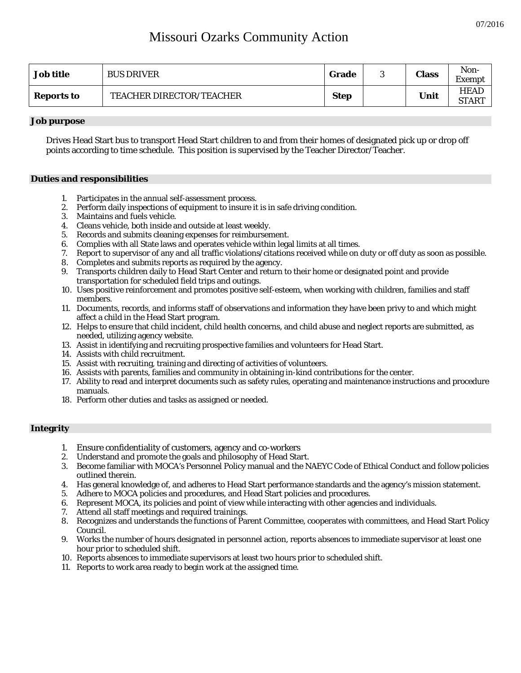# Missouri Ozarks Community Action

| <b>Job title</b>  | <b>BUS DRIVER</b>               | Grade       | ັ | <b>Class</b> | Non-<br>Ē<br>Exempt         |
|-------------------|---------------------------------|-------------|---|--------------|-----------------------------|
| <b>Reports to</b> | <b>TEACHER DIRECTOR/TEACHER</b> | <b>Step</b> |   | Unit         | <b>HEAD</b><br><b>START</b> |

#### **Job purpose**

Drives Head Start bus to transport Head Start children to and from their homes of designated pick up or drop off points according to time schedule. This position is supervised by the Teacher Director/Teacher.

### **Duties and responsibilities**

- 1. Participates in the annual self-assessment process.
- 2. Perform daily inspections of equipment to insure it is in safe driving condition.
- 3. Maintains and fuels vehicle.
- 4. Cleans vehicle, both inside and outside at least weekly.
- 5. Records and submits cleaning expenses for reimbursement.
- 6. Complies with all State laws and operates vehicle within legal limits at all times.
- 7. Report to supervisor of any and all traffic violations/citations received while on duty or off duty as soon as possible.
- 8. Completes and submits reports as required by the agency.
- 9. Transports children daily to Head Start Center and return to their home or designated point and provide transportation for scheduled field trips and outings.
- 10. Uses positive reinforcement and promotes positive self-esteem, when working with children, families and staff members.
- 11. Documents, records, and informs staff of observations and information they have been privy to and which might affect a child in the Head Start program.
- 12. Helps to ensure that child incident, child health concerns, and child abuse and neglect reports are submitted, as needed, utilizing agency website.
- 13. Assist in identifying and recruiting prospective families and volunteers for Head Start.
- 14. Assists with child recruitment.
- 15. Assist with recruiting, training and directing of activities of volunteers.
- 16. Assists with parents, families and community in obtaining in-kind contributions for the center.
- 17. Ability to read and interpret documents such as safety rules, operating and maintenance instructions and procedure manuals.
- 18. Perform other duties and tasks as assigned or needed.

### **Integrity**

- 1. Ensure confidentiality of customers, agency and co-workers
- 2. Understand and promote the goals and philosophy of Head Start.
- 3. Become familiar with MOCA's Personnel Policy manual and the NAEYC Code of Ethical Conduct and follow policies outlined therein.
- 4. Has general knowledge of, and adheres to Head Start performance standards and the agency's mission statement.
- 5. Adhere to MOCA policies and procedures, and Head Start policies and procedures.
- 6. Represent MOCA, its policies and point of view while interacting with other agencies and individuals.
- 7. Attend all staff meetings and required trainings.
- 8. Recognizes and understands the functions of Parent Committee, cooperates with committees, and Head Start Policy Council.
- 9. Works the number of hours designated in personnel action, reports absences to immediate supervisor at least one hour prior to scheduled shift.
- 10. Reports absences to immediate supervisors at least two hours prior to scheduled shift.
- 11. Reports to work area ready to begin work at the assigned time.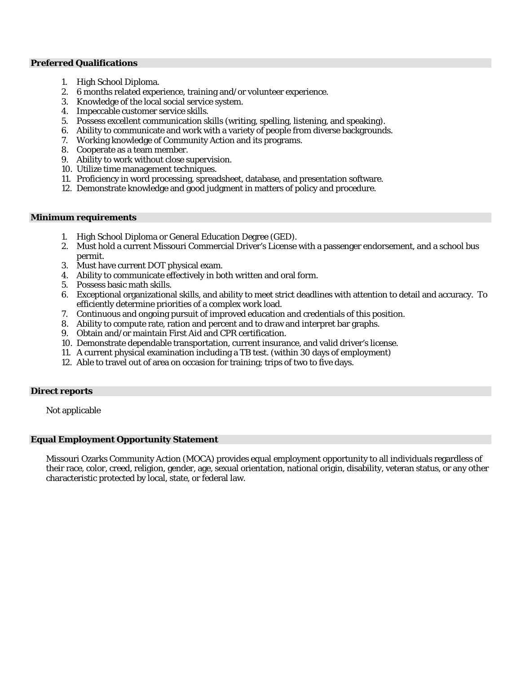#### **Preferred Qualifications**

- 1. High School Diploma.
- 2. 6 months related experience, training and/or volunteer experience.
- 3. Knowledge of the local social service system.
- 4. Impeccable customer service skills.
- 5. Possess excellent communication skills (writing, spelling, listening, and speaking).
- 6. Ability to communicate and work with a variety of people from diverse backgrounds.
- 7. Working knowledge of Community Action and its programs.
- 8. Cooperate as a team member.
- 9. Ability to work without close supervision.
- 10. Utilize time management techniques.
- 11. Proficiency in word processing, spreadsheet, database, and presentation software.
- 12. Demonstrate knowledge and good judgment in matters of policy and procedure.

#### **Minimum requirements**

- 1. High School Diploma or General Education Degree (GED).
- 2. Must hold a current Missouri Commercial Driver's License with a passenger endorsement, and a school bus permit.
- 3. Must have current DOT physical exam.
- 4. Ability to communicate effectively in both written and oral form.
- 5. Possess basic math skills.
- 6. Exceptional organizational skills, and ability to meet strict deadlines with attention to detail and accuracy. To efficiently determine priorities of a complex work load.
- 7. Continuous and ongoing pursuit of improved education and credentials of this position.
- 8. Ability to compute rate, ration and percent and to draw and interpret bar graphs.
- 9. Obtain and/or maintain First Aid and CPR certification.
- 10. Demonstrate dependable transportation, current insurance, and valid driver's license.
- 11. A current physical examination including a TB test. (within 30 days of employment)
- 12. Able to travel out of area on occasion for training; trips of two to five days.

## **Direct reports**

Not applicable

## **Equal Employment Opportunity Statement**

Missouri Ozarks Community Action (MOCA) provides equal employment opportunity to all individuals regardless of their race, color, creed, religion, gender, age, sexual orientation, national origin, disability, veteran status, or any other characteristic protected by local, state, or federal law.